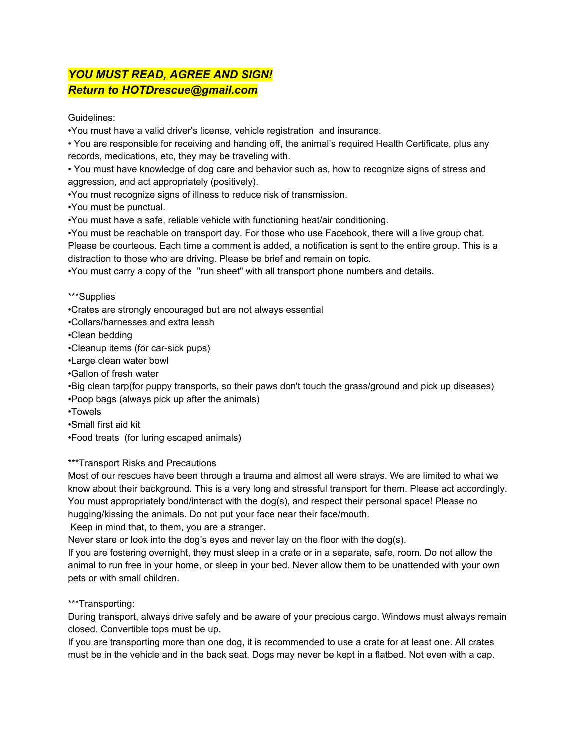## *YOU MUST READ, AGREE AND SIGN! Return to HOTDrescue@gmail.com*

Guidelines:

•You must have a valid driver's license, vehicle registration and insurance.

• You are responsible for receiving and handing off, the animal's required Health Certificate, plus any records, medications, etc, they may be traveling with.

• You must have knowledge of dog care and behavior such as, how to recognize signs of stress and aggression, and act appropriately (positively).

•You must recognize signs of illness to reduce risk of transmission.

•You must be punctual.

•You must have a safe, reliable vehicle with functioning heat/air conditioning.

•You must be reachable on transport day. For those who use Facebook, there will a live group chat. Please be courteous. Each time a comment is added, a notification is sent to the entire group. This is a distraction to those who are driving. Please be brief and remain on topic.

•You must carry a copy of the "run sheet" with all transport phone numbers and details.

\*\*\*Supplies

•Crates are strongly encouraged but are not always essential

•Collars/harnesses and extra leash

•Clean bedding

•Cleanup items (for car-sick pups)

•Large clean water bowl

•Gallon of fresh water

•Big clean tarp(for puppy transports, so their paws don't touch the grass/ground and pick up diseases) •Poop bags (always pick up after the animals)

•Towels

•Small first aid kit

•Food treats (for luring escaped animals)

\*\*\*Transport Risks and Precautions

Most of our rescues have been through a trauma and almost all were strays. We are limited to what we know about their background. This is a very long and stressful transport for them. Please act accordingly. You must appropriately bond/interact with the dog(s), and respect their personal space! Please no hugging/kissing the animals. Do not put your face near their face/mouth.

Keep in mind that, to them, you are a stranger.

Never stare or look into the dog's eyes and never lay on the floor with the dog(s).

If you are fostering overnight, they must sleep in a crate or in a separate, safe, room. Do not allow the animal to run free in your home, or sleep in your bed. Never allow them to be unattended with your own pets or with small children.

\*\*\*Transporting:

During transport, always drive safely and be aware of your precious cargo. Windows must always remain closed. Convertible tops must be up.

If you are transporting more than one dog, it is recommended to use a crate for at least one. All crates must be in the vehicle and in the back seat. Dogs may never be kept in a flatbed. Not even with a cap.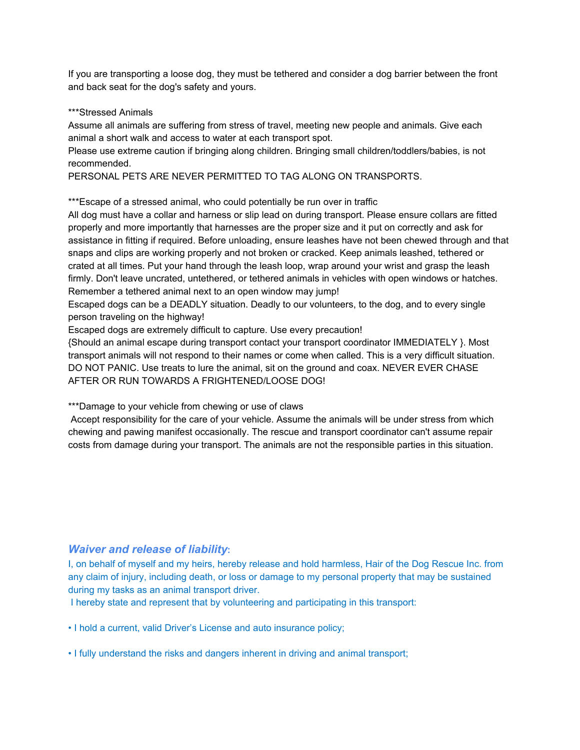If you are transporting a loose dog, they must be tethered and consider a dog barrier between the front and back seat for the dog's safety and yours.

## \*\*\*Stressed Animals

Assume all animals are suffering from stress of travel, meeting new people and animals. Give each animal a short walk and access to water at each transport spot.

Please use extreme caution if bringing along children. Bringing small children/toddlers/babies, is not recommended.

PERSONAL PETS ARE NEVER PERMITTED TO TAG ALONG ON TRANSPORTS.

\*\*\*Escape of a stressed animal, who could potentially be run over in traffic

All dog must have a collar and harness or slip lead on during transport. Please ensure collars are fitted properly and more importantly that harnesses are the proper size and it put on correctly and ask for assistance in fitting if required. Before unloading, ensure leashes have not been chewed through and that snaps and clips are working properly and not broken or cracked. Keep animals leashed, tethered or crated at all times. Put your hand through the leash loop, wrap around your wrist and grasp the leash firmly. Don't leave uncrated, untethered, or tethered animals in vehicles with open windows or hatches. Remember a tethered animal next to an open window may jump!

Escaped dogs can be a DEADLY situation. Deadly to our volunteers, to the dog, and to every single person traveling on the highway!

Escaped dogs are extremely difficult to capture. Use every precaution!

{Should an animal escape during transport contact your transport coordinator IMMEDIATELY }. Most transport animals will not respond to their names or come when called. This is a very difficult situation. DO NOT PANIC. Use treats to lure the animal, sit on the ground and coax. NEVER EVER CHASE AFTER OR RUN TOWARDS A FRIGHTENED/LOOSE DOG!

\*\*\*Damage to your vehicle from chewing or use of claws

Accept responsibility for the care of your vehicle. Assume the animals will be under stress from which chewing and pawing manifest occasionally. The rescue and transport coordinator can't assume repair costs from damage during your transport. The animals are not the responsible parties in this situation.

## *Waiver and release of liability***:**

I, on behalf of myself and my heirs, hereby release and hold harmless, Hair of the Dog Rescue Inc. from any claim of injury, including death, or loss or damage to my personal property that may be sustained during my tasks as an animal transport driver.

I hereby state and represent that by volunteering and participating in this transport:

• I hold a current, valid Driver's License and auto insurance policy;

• I fully understand the risks and dangers inherent in driving and animal transport;